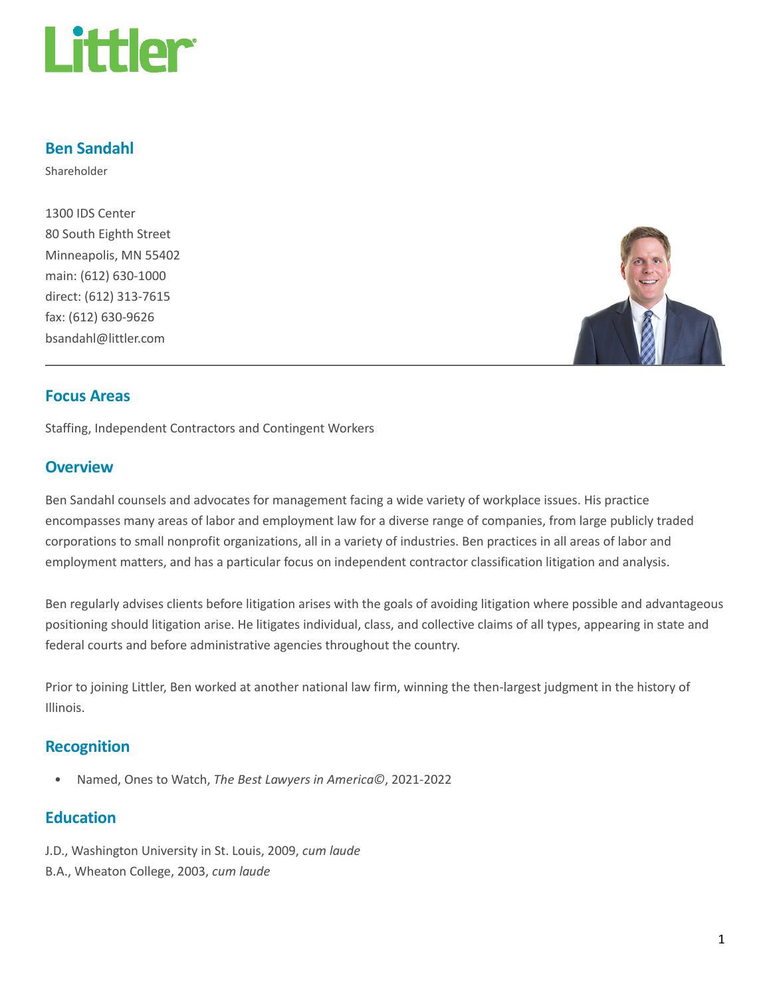

### Ben Sandahl

Shareholder

1300 IDS Center 80 South Eighth Street Minneapolis, MN 55402 main: (612) 630-1000 direct: (612) 313-7615 fax: (612) 630-9626 bsandahl@littler.com



### Focus Areas

Staffing, Independent Contractors and Contingent Workers

### **Overview**

Ben Sandahl counsels and advocates for management facing a wide variety of workplace issues. His practice encompasses many areas of labor and employment law for a diverse range of companies, from large publicly traded corporations to small nonprofit organizations, all in a variety of industries. Ben practices in all areas of labor and employment matters, and has a particular focus on independent contractor classification litigation and analysis.

Ben regularly advises clients before litigation arises with the goals of avoiding litigation where possible and advantageous positioning should litigation arise. He litigates individual, class, and collective claims of all types, appearing in state and federal courts and before administrative agencies throughout the country.

Prior to joining Littler, Ben worked at another national law firm, winning the then-largest judgment in the history of Illinois.

### Recognition

• Named, Ones to Watch, The Best Lawyers in America©, 2021-2022

### **Education**

- J.D., Washington University in St. Louis, 2009, cum laude
- B.A., Wheaton College, 2003, cum laude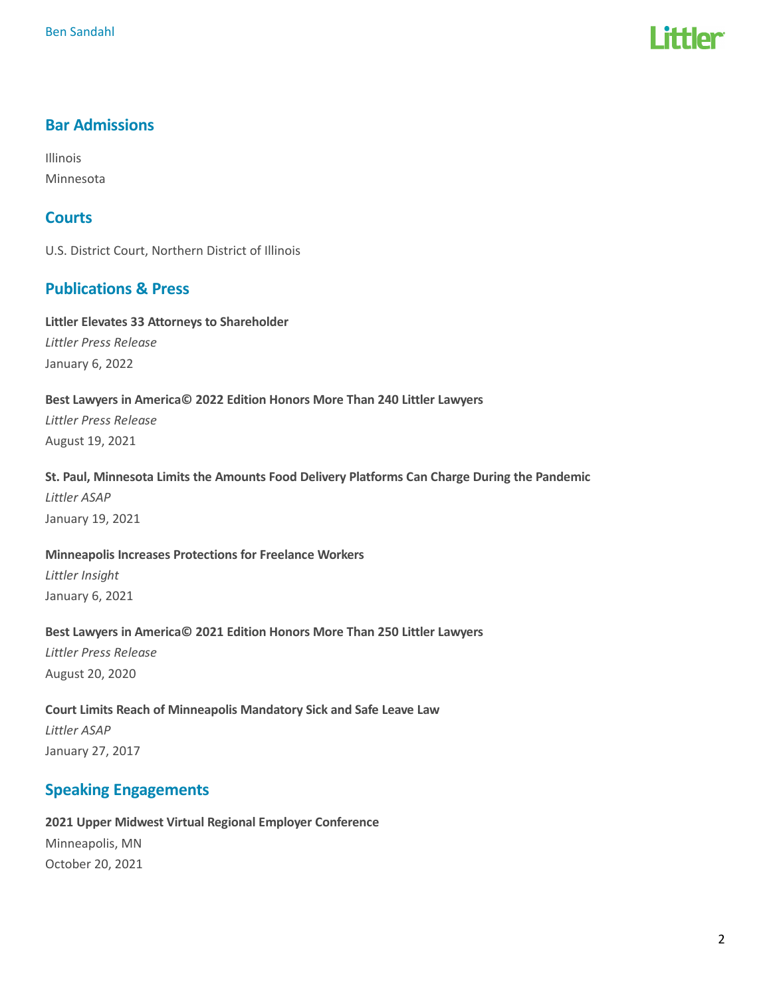

## Bar Admissions

Illinois Minnesota

## **Courts**

U.S. District Court, Northern District of Illinois

## Publications & Press

Littler Elevates 33 Attorneys to Shareholder Littler Press Release January 6, 2022

#### Best Lawyers in America© 2022 Edition Honors More Than 240 Littler Lawyers

Littler Press Release August 19, 2021

#### St. Paul, Minnesota Limits the Amounts Food Delivery Platforms Can Charge During the Pandemic

Littler ASAP January 19, 2021

## Minneapolis Increases Protections for Freelance Workers Littler Insight January 6, 2021

#### Best Lawyers in America© 2021 Edition Honors More Than 250 Littler Lawyers

Littler Press Release August 20, 2020

## Court Limits Reach of Minneapolis Mandatory Sick and Safe Leave Law Littler ASAP January 27, 2017

# Speaking Engagements

## 2021 Upper Midwest Virtual Regional Employer Conference Minneapolis, MN October 20, 2021